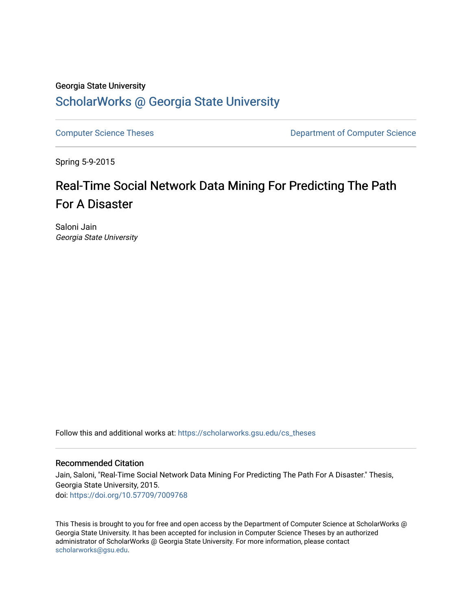## Georgia State University [ScholarWorks @ Georgia State University](https://scholarworks.gsu.edu/)

[Computer Science Theses](https://scholarworks.gsu.edu/cs_theses) **Computer Science** Theses **Department of Computer Science** 

Spring 5-9-2015

# Real-Time Social Network Data Mining For Predicting The Path For A Disaster

Saloni Jain Georgia State University

Follow this and additional works at: [https://scholarworks.gsu.edu/cs\\_theses](https://scholarworks.gsu.edu/cs_theses?utm_source=scholarworks.gsu.edu%2Fcs_theses%2F79&utm_medium=PDF&utm_campaign=PDFCoverPages) 

#### Recommended Citation

Jain, Saloni, "Real-Time Social Network Data Mining For Predicting The Path For A Disaster." Thesis, Georgia State University, 2015. doi: <https://doi.org/10.57709/7009768>

This Thesis is brought to you for free and open access by the Department of Computer Science at ScholarWorks @ Georgia State University. It has been accepted for inclusion in Computer Science Theses by an authorized administrator of ScholarWorks @ Georgia State University. For more information, please contact [scholarworks@gsu.edu.](mailto:scholarworks@gsu.edu)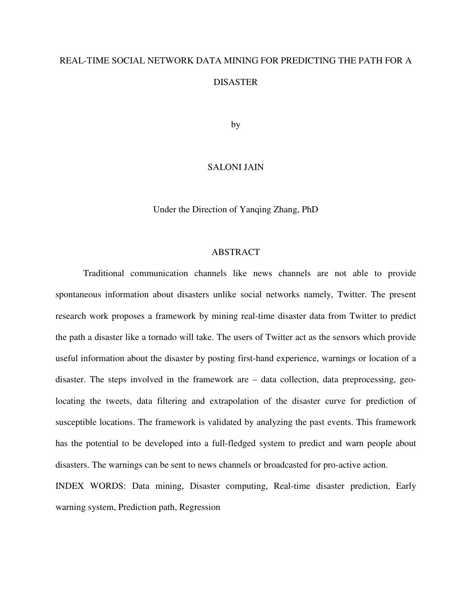# REAL-TIME SOCIAL NETWORK DATA MINING FOR PREDICTING THE PATH FOR A **DISASTER**

by

#### SALONI JAIN

Under the Direction of Yanqing Zhang, PhD

#### ABSTRACT

Traditional communication channels like news channels are not able to provide spontaneous information about disasters unlike social networks namely, Twitter. The present research work proposes a framework by mining real-time disaster data from Twitter to predict the path a disaster like a tornado will take. The users of Twitter act as the sensors which provide useful information about the disaster by posting first-hand experience, warnings or location of a disaster. The steps involved in the framework are – data collection, data preprocessing, geolocating the tweets, data filtering and extrapolation of the disaster curve for prediction of susceptible locations. The framework is validated by analyzing the past events. This framework has the potential to be developed into a full-fledged system to predict and warn people about disasters. The warnings can be sent to news channels or broadcasted for pro-active action.

INDEX WORDS: Data mining, Disaster computing, Real-time disaster prediction, Early warning system, Prediction path, Regression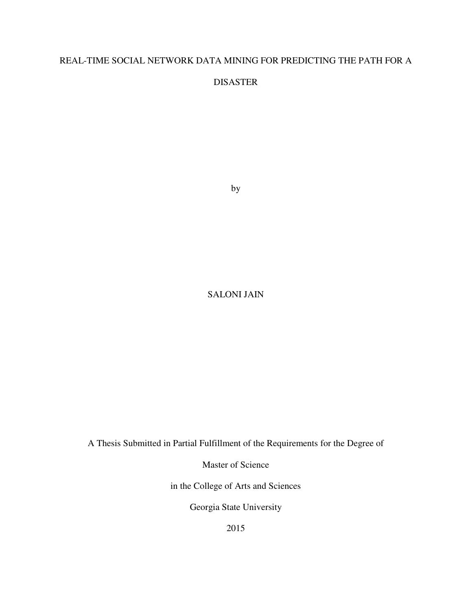## REAL-TIME SOCIAL NETWORK DATA MINING FOR PREDICTING THE PATH FOR A

DISASTER

by

## SALONI JAIN

A Thesis Submitted in Partial Fulfillment of the Requirements for the Degree of

Master of Science

in the College of Arts and Sciences

Georgia State University

2015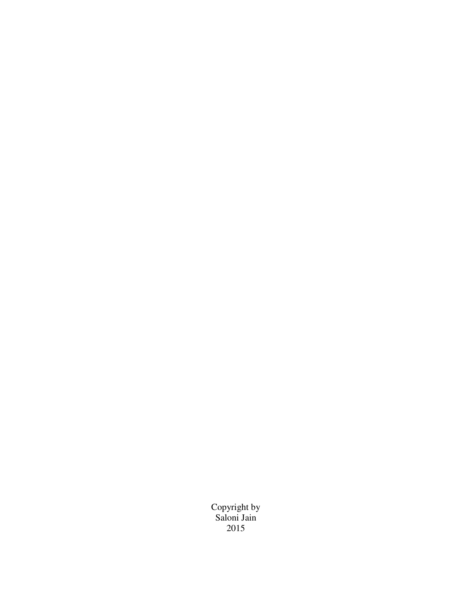Copyright by Saloni Jain 2015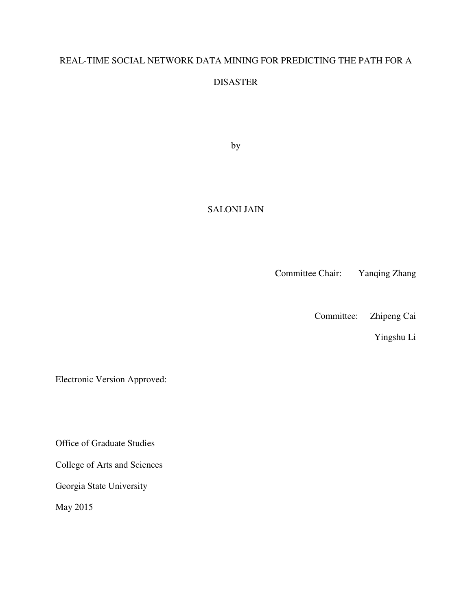## REAL-TIME SOCIAL NETWORK DATA MINING FOR PREDICTING THE PATH FOR A

## DISASTER

by

## SALONI JAIN

Committee Chair: Yanqing Zhang

Committee: Zhipeng Cai

Yingshu Li

Electronic Version Approved:

Office of Graduate Studies

College of Arts and Sciences

Georgia State University

May 2015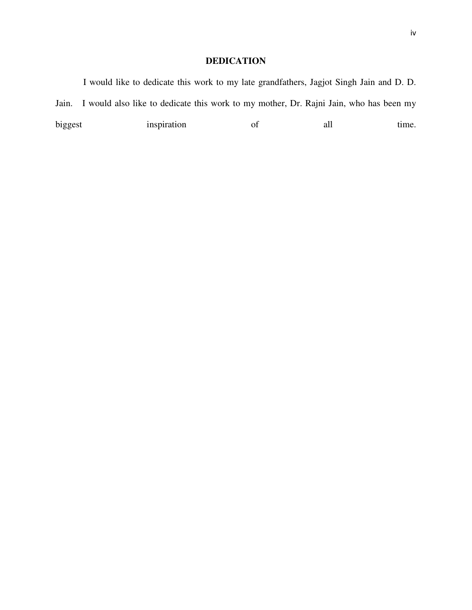## **DEDICATION**

| biggest | inspiration | of | all | time.                                                                                   |
|---------|-------------|----|-----|-----------------------------------------------------------------------------------------|
| Jain.   |             |    |     | I would also like to dedicate this work to my mother, Dr. Rajni Jain, who has been my   |
|         |             |    |     | I would like to dedicate this work to my late grandfathers, Jagjot Singh Jain and D. D. |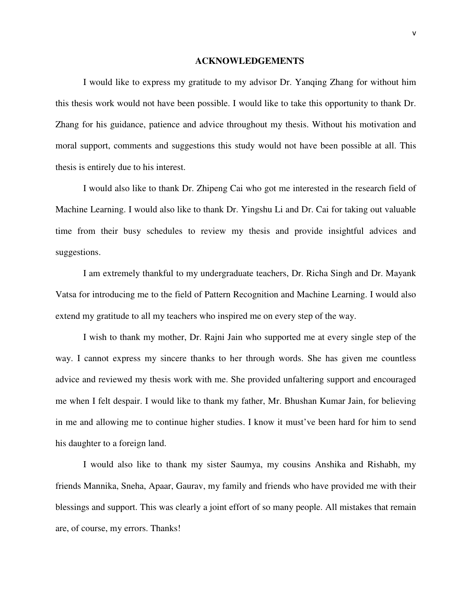#### **ACKNOWLEDGEMENTS**

I would like to express my gratitude to my advisor Dr. Yanqing Zhang for without him this thesis work would not have been possible. I would like to take this opportunity to thank Dr. Zhang for his guidance, patience and advice throughout my thesis. Without his motivation and moral support, comments and suggestions this study would not have been possible at all. This thesis is entirely due to his interest.

I would also like to thank Dr. Zhipeng Cai who got me interested in the research field of Machine Learning. I would also like to thank Dr. Yingshu Li and Dr. Cai for taking out valuable time from their busy schedules to review my thesis and provide insightful advices and suggestions.

I am extremely thankful to my undergraduate teachers, Dr. Richa Singh and Dr. Mayank Vatsa for introducing me to the field of Pattern Recognition and Machine Learning. I would also extend my gratitude to all my teachers who inspired me on every step of the way.

I wish to thank my mother, Dr. Rajni Jain who supported me at every single step of the way. I cannot express my sincere thanks to her through words. She has given me countless advice and reviewed my thesis work with me. She provided unfaltering support and encouraged me when I felt despair. I would like to thank my father, Mr. Bhushan Kumar Jain, for believing in me and allowing me to continue higher studies. I know it must've been hard for him to send his daughter to a foreign land.

I would also like to thank my sister Saumya, my cousins Anshika and Rishabh, my friends Mannika, Sneha, Apaar, Gaurav, my family and friends who have provided me with their blessings and support. This was clearly a joint effort of so many people. All mistakes that remain are, of course, my errors. Thanks!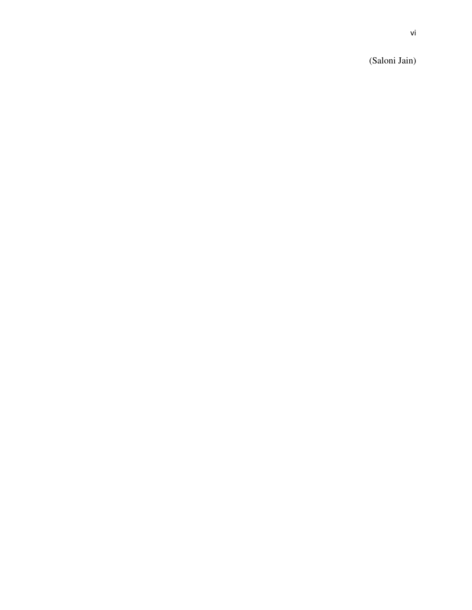(Saloni Jain)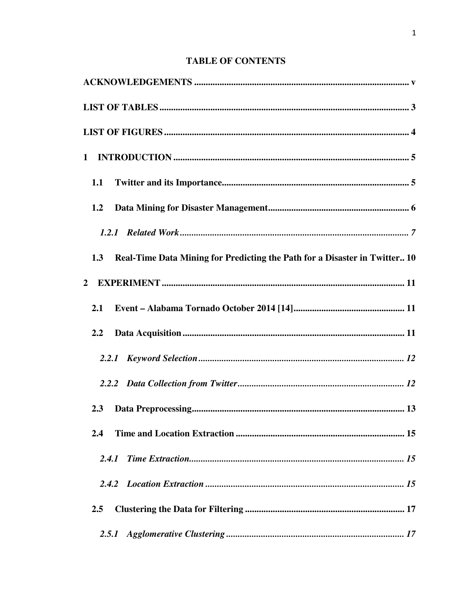## **TABLE OF CONTENTS**

| 1.1                                                                               |
|-----------------------------------------------------------------------------------|
| 1.2                                                                               |
|                                                                                   |
| Real-Time Data Mining for Predicting the Path for a Disaster in Twitter 10<br>1.3 |
| $\mathbf{2}$                                                                      |
| 2.1                                                                               |
| 2.2                                                                               |
|                                                                                   |
|                                                                                   |
| 2.3                                                                               |
| 2.4                                                                               |
| 2.4.1                                                                             |
|                                                                                   |
| 2.5                                                                               |
| 2.5.1                                                                             |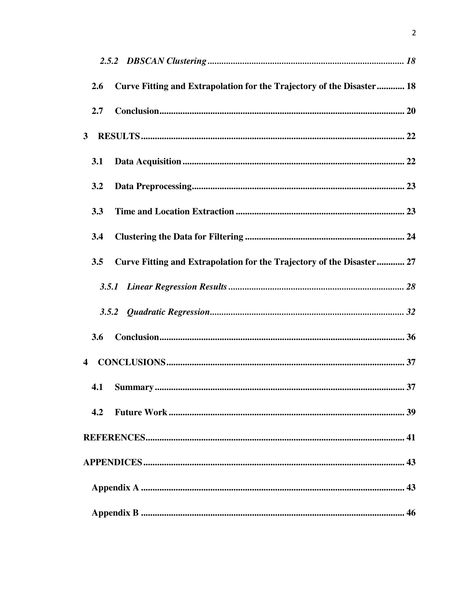| 2.6                     | Curve Fitting and Extrapolation for the Trajectory of the Disaster 18 |  |
|-------------------------|-----------------------------------------------------------------------|--|
| 2.7                     |                                                                       |  |
| $\mathbf{3}$            |                                                                       |  |
| 3.1                     |                                                                       |  |
| 3.2                     |                                                                       |  |
| 3.3                     |                                                                       |  |
| 3.4                     |                                                                       |  |
| 3.5                     | Curve Fitting and Extrapolation for the Trajectory of the Disaster 27 |  |
|                         |                                                                       |  |
|                         |                                                                       |  |
| 3.6                     |                                                                       |  |
| $\overline{\mathbf{4}}$ |                                                                       |  |
| 4.1                     |                                                                       |  |
| 4.2                     |                                                                       |  |
|                         |                                                                       |  |
|                         |                                                                       |  |
|                         |                                                                       |  |
|                         |                                                                       |  |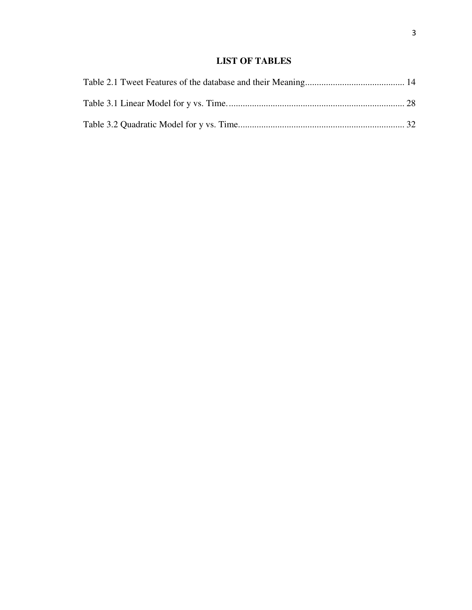## **LIST OF TABLES**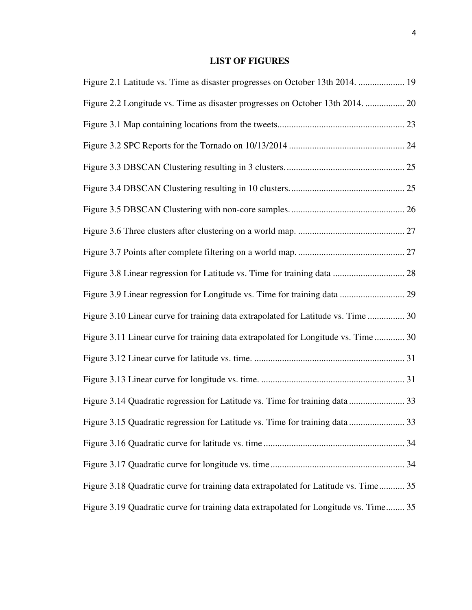## **LIST OF FIGURES**

| Figure 2.1 Latitude vs. Time as disaster progresses on October 13th 2014.  19        |
|--------------------------------------------------------------------------------------|
| Figure 2.2 Longitude vs. Time as disaster progresses on October 13th 2014.  20       |
|                                                                                      |
|                                                                                      |
|                                                                                      |
|                                                                                      |
|                                                                                      |
|                                                                                      |
|                                                                                      |
|                                                                                      |
|                                                                                      |
| Figure 3.10 Linear curve for training data extrapolated for Latitude vs. Time  30    |
| Figure 3.11 Linear curve for training data extrapolated for Longitude vs. Time  30   |
|                                                                                      |
|                                                                                      |
| Figure 3.14 Quadratic regression for Latitude vs. Time for training data  33         |
| Figure 3.15 Quadratic regression for Latitude vs. Time for training data  33         |
|                                                                                      |
|                                                                                      |
| Figure 3.18 Quadratic curve for training data extrapolated for Latitude vs. Time 35  |
| Figure 3.19 Quadratic curve for training data extrapolated for Longitude vs. Time 35 |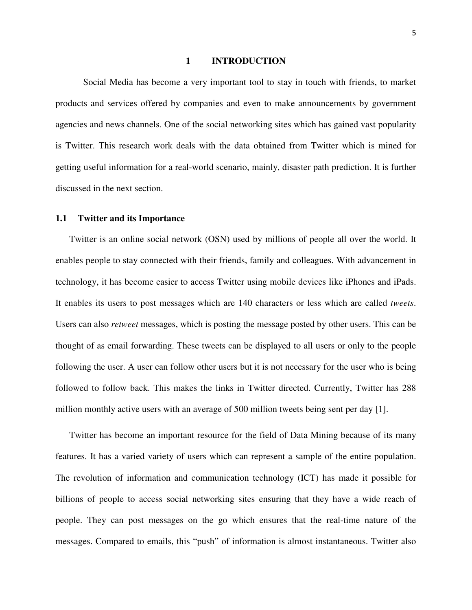#### **1 INTRODUCTION**

Social Media has become a very important tool to stay in touch with friends, to market products and services offered by companies and even to make announcements by government agencies and news channels. One of the social networking sites which has gained vast popularity is Twitter. This research work deals with the data obtained from Twitter which is mined for getting useful information for a real-world scenario, mainly, disaster path prediction. It is further discussed in the next section.

#### **1.1 Twitter and its Importance**

 Twitter is an online social network (OSN) used by millions of people all over the world. It enables people to stay connected with their friends, family and colleagues. With advancement in technology, it has become easier to access Twitter using mobile devices like iPhones and iPads. It enables its users to post messages which are 140 characters or less which are called *tweets*. Users can also *retweet* messages, which is posting the message posted by other users. This can be thought of as email forwarding. These tweets can be displayed to all users or only to the people following the user. A user can follow other users but it is not necessary for the user who is being followed to follow back. This makes the links in Twitter directed. Currently, Twitter has 288 million monthly active users with an average of 500 million tweets being sent per day [1].

 Twitter has become an important resource for the field of Data Mining because of its many features. It has a varied variety of users which can represent a sample of the entire population. The revolution of information and communication technology (ICT) has made it possible for billions of people to access social networking sites ensuring that they have a wide reach of people. They can post messages on the go which ensures that the real-time nature of the messages. Compared to emails, this "push" of information is almost instantaneous. Twitter also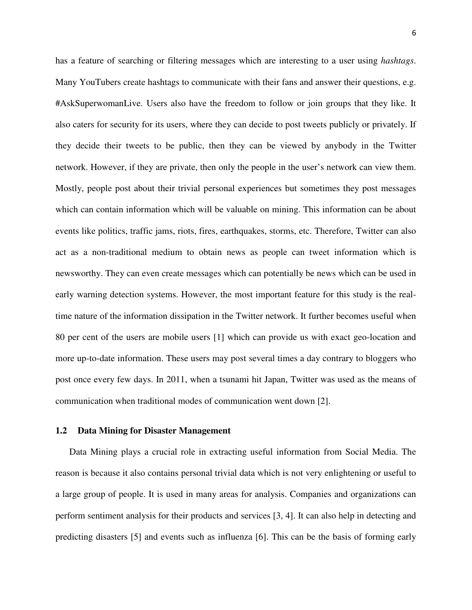has a feature of searching or filtering messages which are interesting to a user using *hashtags*. Many YouTubers create hashtags to communicate with their fans and answer their questions, e.g. #AskSuperwomanLive. Users also have the freedom to follow or join groups that they like. It also caters for security for its users, where they can decide to post tweets publicly or privately. If they decide their tweets to be public, then they can be viewed by anybody in the Twitter network. However, if they are private, then only the people in the user's network can view them. Mostly, people post about their trivial personal experiences but sometimes they post messages which can contain information which will be valuable on mining. This information can be about events like politics, traffic jams, riots, fires, earthquakes, storms, etc. Therefore, Twitter can also act as a non-traditional medium to obtain news as people can tweet information which is newsworthy. They can even create messages which can potentially be news which can be used in early warning detection systems. However, the most important feature for this study is the realtime nature of the information dissipation in the Twitter network. It further becomes useful when 80 per cent of the users are mobile users [1] which can provide us with exact geo-location and more up-to-date information. These users may post several times a day contrary to bloggers who post once every few days. In 2011, when a tsunami hit Japan, Twitter was used as the means of communication when traditional modes of communication went down [2].

#### **1.2 Data Mining for Disaster Management**

 Data Mining plays a crucial role in extracting useful information from Social Media. The reason is because it also contains personal trivial data which is not very enlightening or useful to a large group of people. It is used in many areas for analysis. Companies and organizations can perform sentiment analysis for their products and services [3, 4]. It can also help in detecting and predicting disasters [5] and events such as influenza [6]. This can be the basis of forming early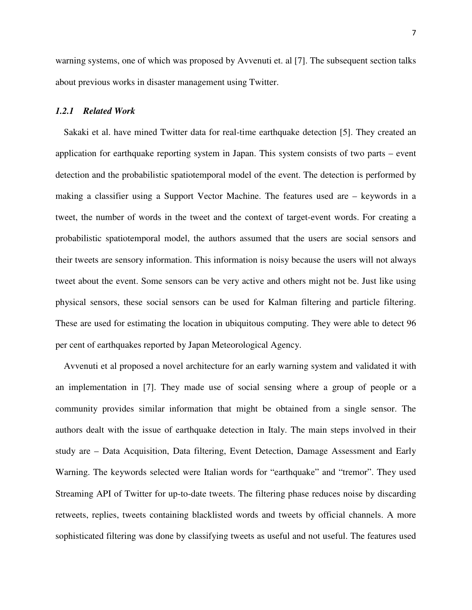warning systems, one of which was proposed by Avvenuti et. al [7]. The subsequent section talks about previous works in disaster management using Twitter.

#### *1.2.1 Related Work*

Sakaki et al. have mined Twitter data for real-time earthquake detection [5]. They created an application for earthquake reporting system in Japan. This system consists of two parts – event detection and the probabilistic spatiotemporal model of the event. The detection is performed by making a classifier using a Support Vector Machine. The features used are – keywords in a tweet, the number of words in the tweet and the context of target-event words. For creating a probabilistic spatiotemporal model, the authors assumed that the users are social sensors and their tweets are sensory information. This information is noisy because the users will not always tweet about the event. Some sensors can be very active and others might not be. Just like using physical sensors, these social sensors can be used for Kalman filtering and particle filtering. These are used for estimating the location in ubiquitous computing. They were able to detect 96 per cent of earthquakes reported by Japan Meteorological Agency.

Avvenuti et al proposed a novel architecture for an early warning system and validated it with an implementation in [7]. They made use of social sensing where a group of people or a community provides similar information that might be obtained from a single sensor. The authors dealt with the issue of earthquake detection in Italy. The main steps involved in their study are – Data Acquisition, Data filtering, Event Detection, Damage Assessment and Early Warning. The keywords selected were Italian words for "earthquake" and "tremor". They used Streaming API of Twitter for up-to-date tweets. The filtering phase reduces noise by discarding retweets, replies, tweets containing blacklisted words and tweets by official channels. A more sophisticated filtering was done by classifying tweets as useful and not useful. The features used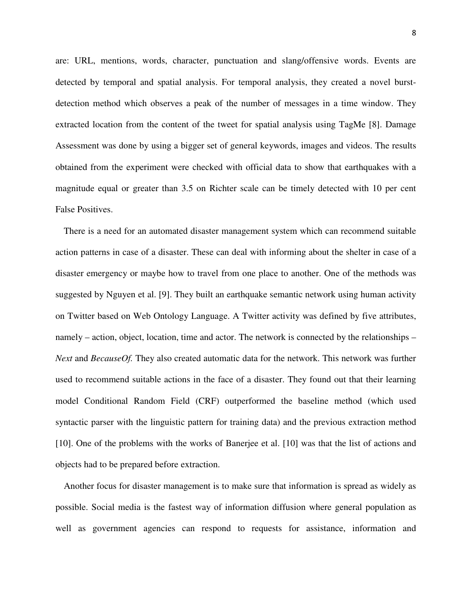are: URL, mentions, words, character, punctuation and slang/offensive words. Events are detected by temporal and spatial analysis. For temporal analysis, they created a novel burstdetection method which observes a peak of the number of messages in a time window. They extracted location from the content of the tweet for spatial analysis using TagMe [8]. Damage Assessment was done by using a bigger set of general keywords, images and videos. The results obtained from the experiment were checked with official data to show that earthquakes with a magnitude equal or greater than 3.5 on Richter scale can be timely detected with 10 per cent False Positives.

There is a need for an automated disaster management system which can recommend suitable action patterns in case of a disaster. These can deal with informing about the shelter in case of a disaster emergency or maybe how to travel from one place to another. One of the methods was suggested by Nguyen et al. [9]. They built an earthquake semantic network using human activity on Twitter based on Web Ontology Language. A Twitter activity was defined by five attributes, namely – action, object, location, time and actor. The network is connected by the relationships – *Next* and *BecauseOf.* They also created automatic data for the network. This network was further used to recommend suitable actions in the face of a disaster. They found out that their learning model Conditional Random Field (CRF) outperformed the baseline method (which used syntactic parser with the linguistic pattern for training data) and the previous extraction method [10]. One of the problems with the works of Banerjee et al. [10] was that the list of actions and objects had to be prepared before extraction.

Another focus for disaster management is to make sure that information is spread as widely as possible. Social media is the fastest way of information diffusion where general population as well as government agencies can respond to requests for assistance, information and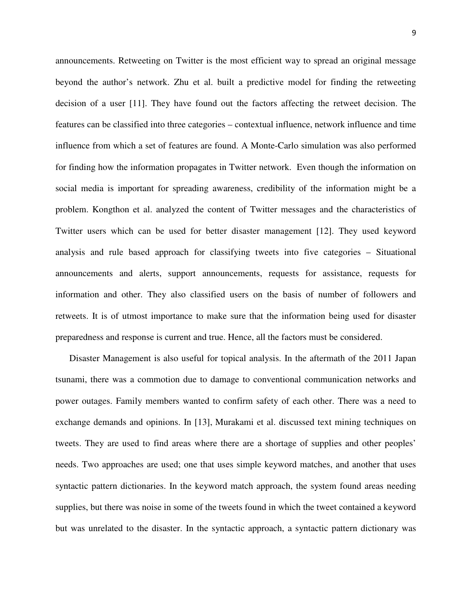announcements. Retweeting on Twitter is the most efficient way to spread an original message beyond the author's network. Zhu et al. built a predictive model for finding the retweeting decision of a user [11]. They have found out the factors affecting the retweet decision. The features can be classified into three categories – contextual influence, network influence and time influence from which a set of features are found. A Monte-Carlo simulation was also performed for finding how the information propagates in Twitter network. Even though the information on social media is important for spreading awareness, credibility of the information might be a problem. Kongthon et al. analyzed the content of Twitter messages and the characteristics of Twitter users which can be used for better disaster management [12]. They used keyword analysis and rule based approach for classifying tweets into five categories – Situational announcements and alerts, support announcements, requests for assistance, requests for information and other. They also classified users on the basis of number of followers and retweets. It is of utmost importance to make sure that the information being used for disaster preparedness and response is current and true. Hence, all the factors must be considered.

 Disaster Management is also useful for topical analysis. In the aftermath of the 2011 Japan tsunami, there was a commotion due to damage to conventional communication networks and power outages. Family members wanted to confirm safety of each other. There was a need to exchange demands and opinions. In [13], Murakami et al. discussed text mining techniques on tweets. They are used to find areas where there are a shortage of supplies and other peoples' needs. Two approaches are used; one that uses simple keyword matches, and another that uses syntactic pattern dictionaries. In the keyword match approach, the system found areas needing supplies, but there was noise in some of the tweets found in which the tweet contained a keyword but was unrelated to the disaster. In the syntactic approach, a syntactic pattern dictionary was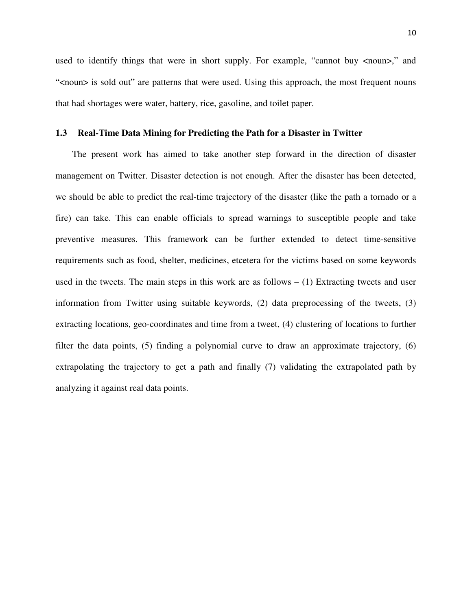used to identify things that were in short supply. For example, "cannot buy <noun>," and "<noun> is sold out" are patterns that were used. Using this approach, the most frequent nouns that had shortages were water, battery, rice, gasoline, and toilet paper.

#### **1.3 Real-Time Data Mining for Predicting the Path for a Disaster in Twitter**

The present work has aimed to take another step forward in the direction of disaster management on Twitter. Disaster detection is not enough. After the disaster has been detected, we should be able to predict the real-time trajectory of the disaster (like the path a tornado or a fire) can take. This can enable officials to spread warnings to susceptible people and take preventive measures. This framework can be further extended to detect time-sensitive requirements such as food, shelter, medicines, etcetera for the victims based on some keywords used in the tweets. The main steps in this work are as follows  $- (1)$  Extracting tweets and user information from Twitter using suitable keywords, (2) data preprocessing of the tweets, (3) extracting locations, geo-coordinates and time from a tweet, (4) clustering of locations to further filter the data points, (5) finding a polynomial curve to draw an approximate trajectory, (6) extrapolating the trajectory to get a path and finally (7) validating the extrapolated path by analyzing it against real data points.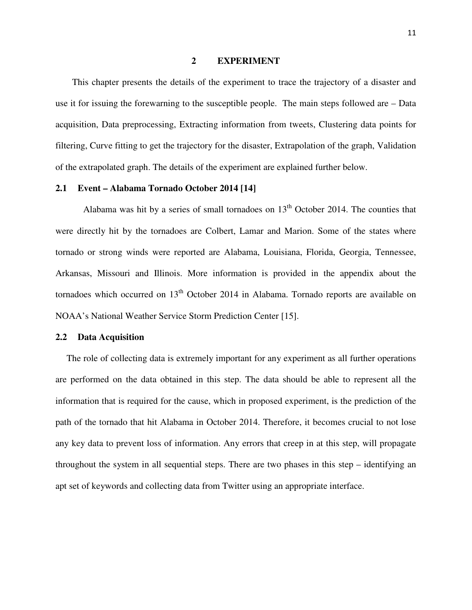#### **2 EXPERIMENT**

This chapter presents the details of the experiment to trace the trajectory of a disaster and use it for issuing the forewarning to the susceptible people. The main steps followed are – Data acquisition, Data preprocessing, Extracting information from tweets, Clustering data points for filtering, Curve fitting to get the trajectory for the disaster, Extrapolation of the graph, Validation of the extrapolated graph. The details of the experiment are explained further below.

#### **2.1 Event – Alabama Tornado October 2014 [14]**

Alabama was hit by a series of small tornadoes on  $13<sup>th</sup>$  October 2014. The counties that were directly hit by the tornadoes are Colbert, Lamar and Marion. Some of the states where tornado or strong winds were reported are Alabama, Louisiana, Florida, Georgia, Tennessee, Arkansas, Missouri and Illinois. More information is provided in the appendix about the tornadoes which occurred on  $13<sup>th</sup>$  October 2014 in Alabama. Tornado reports are available on NOAA's National Weather Service Storm Prediction Center [15].

#### **2.2 Data Acquisition**

The role of collecting data is extremely important for any experiment as all further operations are performed on the data obtained in this step. The data should be able to represent all the information that is required for the cause, which in proposed experiment, is the prediction of the path of the tornado that hit Alabama in October 2014. Therefore, it becomes crucial to not lose any key data to prevent loss of information. Any errors that creep in at this step, will propagate throughout the system in all sequential steps. There are two phases in this step – identifying an apt set of keywords and collecting data from Twitter using an appropriate interface.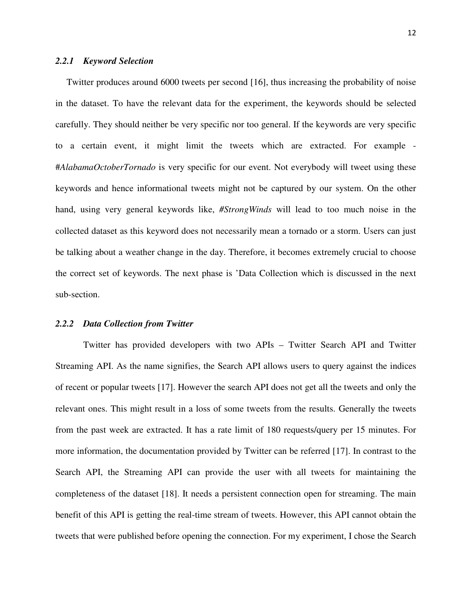#### *2.2.1 Keyword Selection*

Twitter produces around 6000 tweets per second [16], thus increasing the probability of noise in the dataset. To have the relevant data for the experiment, the keywords should be selected carefully. They should neither be very specific nor too general. If the keywords are very specific to a certain event, it might limit the tweets which are extracted. For example - #*AlabamaOctoberTornado* is very specific for our event. Not everybody will tweet using these keywords and hence informational tweets might not be captured by our system. On the other hand, using very general keywords like, *#StrongWinds* will lead to too much noise in the collected dataset as this keyword does not necessarily mean a tornado or a storm. Users can just be talking about a weather change in the day. Therefore, it becomes extremely crucial to choose the correct set of keywords. The next phase is 'Data Collection which is discussed in the next sub-section.

#### *2.2.2 Data Collection from Twitter*

Twitter has provided developers with two APIs – Twitter Search API and Twitter Streaming API. As the name signifies, the Search API allows users to query against the indices of recent or popular tweets [17]. However the search API does not get all the tweets and only the relevant ones. This might result in a loss of some tweets from the results. Generally the tweets from the past week are extracted. It has a rate limit of 180 requests/query per 15 minutes. For more information, the documentation provided by Twitter can be referred [17]. In contrast to the Search API, the Streaming API can provide the user with all tweets for maintaining the completeness of the dataset [18]. It needs a persistent connection open for streaming. The main benefit of this API is getting the real-time stream of tweets. However, this API cannot obtain the tweets that were published before opening the connection. For my experiment, I chose the Search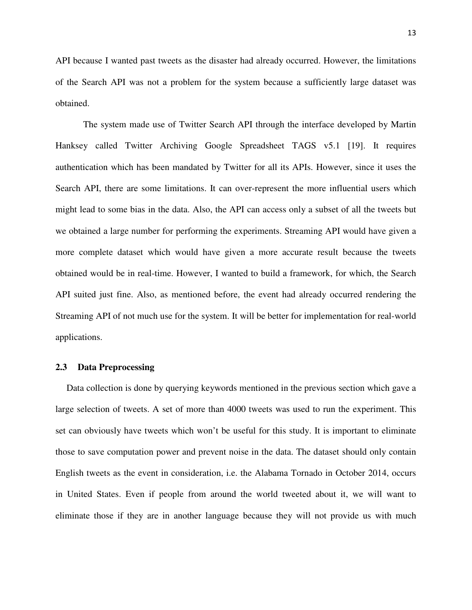API because I wanted past tweets as the disaster had already occurred. However, the limitations of the Search API was not a problem for the system because a sufficiently large dataset was obtained.

The system made use of Twitter Search API through the interface developed by Martin Hanksey called Twitter Archiving Google Spreadsheet TAGS v5.1 [19]. It requires authentication which has been mandated by Twitter for all its APIs. However, since it uses the Search API, there are some limitations. It can over-represent the more influential users which might lead to some bias in the data. Also, the API can access only a subset of all the tweets but we obtained a large number for performing the experiments. Streaming API would have given a more complete dataset which would have given a more accurate result because the tweets obtained would be in real-time. However, I wanted to build a framework, for which, the Search API suited just fine. Also, as mentioned before, the event had already occurred rendering the Streaming API of not much use for the system. It will be better for implementation for real-world applications.

#### **2.3 Data Preprocessing**

Data collection is done by querying keywords mentioned in the previous section which gave a large selection of tweets. A set of more than 4000 tweets was used to run the experiment. This set can obviously have tweets which won't be useful for this study. It is important to eliminate those to save computation power and prevent noise in the data. The dataset should only contain English tweets as the event in consideration, i.e. the Alabama Tornado in October 2014, occurs in United States. Even if people from around the world tweeted about it, we will want to eliminate those if they are in another language because they will not provide us with much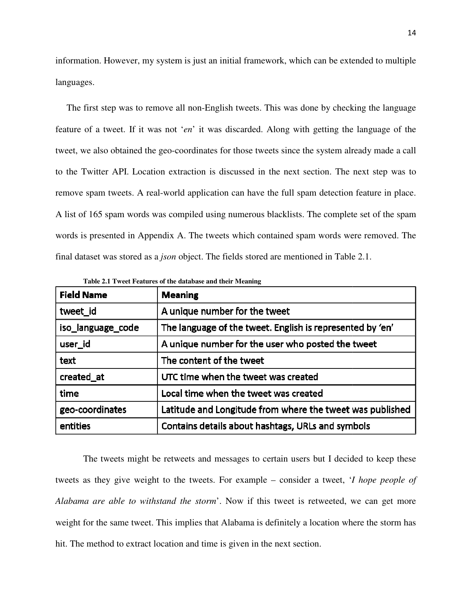information. However, my system is just an initial framework, which can be extended to multiple languages.

The first step was to remove all non-English tweets. This was done by checking the language feature of a tweet. If it was not ' *en*' it was discarded. Along with getting the language of the tweet, we also obtained the geo-coordinates for those tweets since the system already made a call to the Twitter API. Location extraction is discussed in the next section. The next step was to remove spam tweets. A real-world application can have the full spam detection feature in place. A list of 165 spam words was compiled using numerous blacklists. The complete set of the spam A list of 165 spam words was compiled using numerous blacklists. The complete set of the sp<br>words is presented in Appendix A. The tweets which contained spam words were removed. final dataset was stored as a *json* object. The fields stored are mentioned in Table 2.1. on-English tweets. This was done by checking the language<br>
it was discarded. Along with getting the language of the<br>
dinates for those tweets since the system already made a call<br>
tion is discussed in the next section. The

| <b>Field Name</b> | <b>Meaning</b>                                            |
|-------------------|-----------------------------------------------------------|
| tweet_id          | A unique number for the tweet                             |
| iso_language_code | The language of the tweet. English is represented by 'en' |
| user_id           | A unique number for the user who posted the tweet         |
| text              | The content of the tweet                                  |
| created at        | UTC time when the tweet was created                       |
| time              | Local time when the tweet was created                     |
| geo-coordinates   | Latitude and Longitude from where the tweet was published |
| entities          | Contains details about hashtags, URLs and symbols         |

Table 2.1 Tweet Features of the database and their Meaning

The tweets might be retweets and messages to certain users but I decided to keep these tweets as they give weight to the tweets. For example – consider a tweet, '*I hope people of*  Alabama are able to withstand the storm'. Now if this tweet is retweeted, we can get more Alabama are able to withstand the storm'. Now if this tweet is retweeted, we can get more<br>weight for the same tweet. This implies that Alabama is definitely a location where the storm has hit. The method to extract location and time is given in the next section.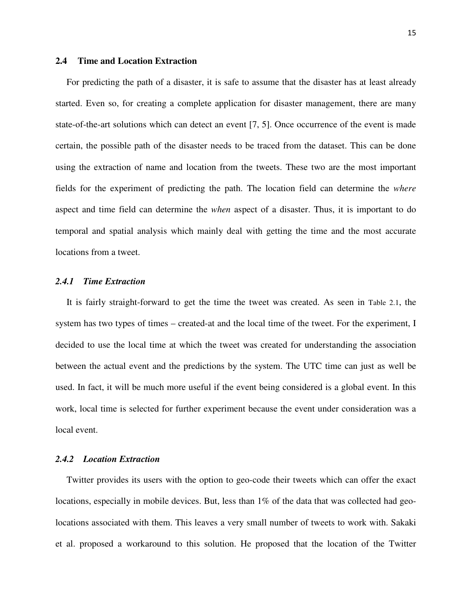#### **2.4 Time and Location Extraction**

For predicting the path of a disaster, it is safe to assume that the disaster has at least already started. Even so, for creating a complete application for disaster management, there are many state-of-the-art solutions which can detect an event [7, 5]. Once occurrence of the event is made certain, the possible path of the disaster needs to be traced from the dataset. This can be done using the extraction of name and location from the tweets. These two are the most important fields for the experiment of predicting the path. The location field can determine the *where*  aspect and time field can determine the *when* aspect of a disaster. Thus, it is important to do temporal and spatial analysis which mainly deal with getting the time and the most accurate locations from a tweet.

#### *2.4.1 Time Extraction*

It is fairly straight-forward to get the time the tweet was created. As seen in Table 2.1, the system has two types of times – created-at and the local time of the tweet. For the experiment, I decided to use the local time at which the tweet was created for understanding the association between the actual event and the predictions by the system. The UTC time can just as well be used. In fact, it will be much more useful if the event being considered is a global event. In this work, local time is selected for further experiment because the event under consideration was a local event.

#### *2.4.2 Location Extraction*

Twitter provides its users with the option to geo-code their tweets which can offer the exact locations, especially in mobile devices. But, less than 1% of the data that was collected had geolocations associated with them. This leaves a very small number of tweets to work with. Sakaki et al. proposed a workaround to this solution. He proposed that the location of the Twitter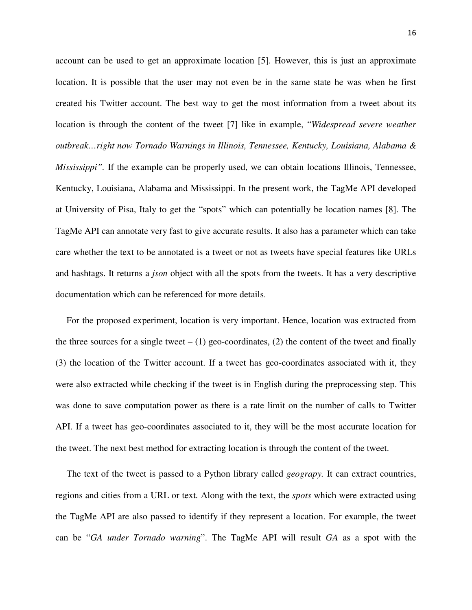account can be used to get an approximate location [5]. However, this is just an approximate location. It is possible that the user may not even be in the same state he was when he first created his Twitter account. The best way to get the most information from a tweet about its location is through the content of the tweet [7] like in example, "*Widespread severe weather outbreak…right now Tornado Warnings in Illinois, Tennessee, Kentucky, Louisiana, Alabama & Mississippi*". If the example can be properly used, we can obtain locations Illinois, Tennessee, Kentucky, Louisiana, Alabama and Mississippi. In the present work, the TagMe API developed at University of Pisa, Italy to get the "spots" which can potentially be location names [8]. The TagMe API can annotate very fast to give accurate results. It also has a parameter which can take care whether the text to be annotated is a tweet or not as tweets have special features like URLs and hashtags. It returns a *json* object with all the spots from the tweets. It has a very descriptive documentation which can be referenced for more details.

For the proposed experiment, location is very important. Hence, location was extracted from the three sources for a single tweet  $- (1)$  geo-coordinates, (2) the content of the tweet and finally (3) the location of the Twitter account. If a tweet has geo-coordinates associated with it, they were also extracted while checking if the tweet is in English during the preprocessing step. This was done to save computation power as there is a rate limit on the number of calls to Twitter API. If a tweet has geo-coordinates associated to it, they will be the most accurate location for the tweet. The next best method for extracting location is through the content of the tweet.

The text of the tweet is passed to a Python library called *geograpy.* It can extract countries, regions and cities from a URL or text*.* Along with the text, the *spots* which were extracted using the TagMe API are also passed to identify if they represent a location. For example, the tweet can be "*GA under Tornado warning*". The TagMe API will result *GA* as a spot with the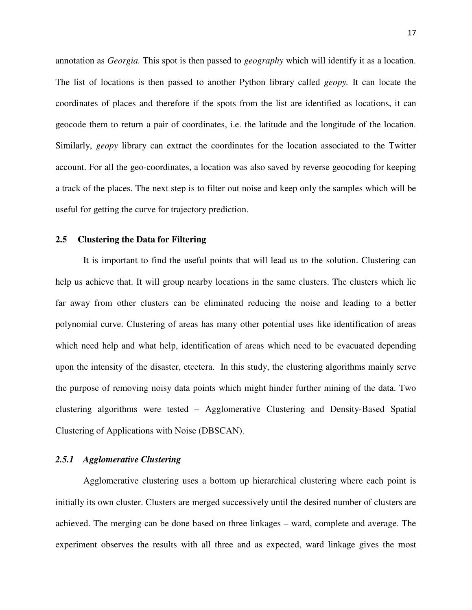annotation as *Georgia.* This spot is then passed to *geography* which will identify it as a location. The list of locations is then passed to another Python library called *geopy.* It can locate the coordinates of places and therefore if the spots from the list are identified as locations, it can geocode them to return a pair of coordinates, i.e. the latitude and the longitude of the location. Similarly, *geopy* library can extract the coordinates for the location associated to the Twitter account. For all the geo-coordinates, a location was also saved by reverse geocoding for keeping a track of the places. The next step is to filter out noise and keep only the samples which will be useful for getting the curve for trajectory prediction.

#### **2.5 Clustering the Data for Filtering**

It is important to find the useful points that will lead us to the solution. Clustering can help us achieve that. It will group nearby locations in the same clusters. The clusters which lie far away from other clusters can be eliminated reducing the noise and leading to a better polynomial curve. Clustering of areas has many other potential uses like identification of areas which need help and what help, identification of areas which need to be evacuated depending upon the intensity of the disaster, etcetera. In this study, the clustering algorithms mainly serve the purpose of removing noisy data points which might hinder further mining of the data. Two clustering algorithms were tested – Agglomerative Clustering and Density-Based Spatial Clustering of Applications with Noise (DBSCAN).

#### *2.5.1 Agglomerative Clustering*

Agglomerative clustering uses a bottom up hierarchical clustering where each point is initially its own cluster. Clusters are merged successively until the desired number of clusters are achieved. The merging can be done based on three linkages – ward, complete and average. The experiment observes the results with all three and as expected, ward linkage gives the most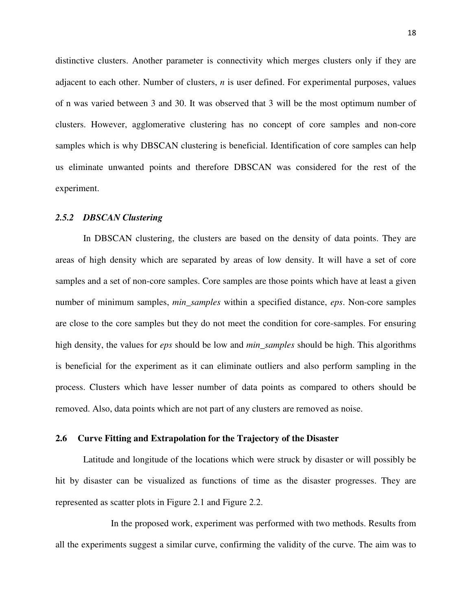distinctive clusters. Another parameter is connectivity which merges clusters only if they are adjacent to each other. Number of clusters, *n* is user defined. For experimental purposes, values of n was varied between 3 and 30. It was observed that 3 will be the most optimum number of clusters. However, agglomerative clustering has no concept of core samples and non-core samples which is why DBSCAN clustering is beneficial. Identification of core samples can help us eliminate unwanted points and therefore DBSCAN was considered for the rest of the experiment.

#### *2.5.2 DBSCAN Clustering*

In DBSCAN clustering, the clusters are based on the density of data points. They are areas of high density which are separated by areas of low density. It will have a set of core samples and a set of non-core samples. Core samples are those points which have at least a given number of minimum samples, *min\_samples* within a specified distance, *eps*. Non-core samples are close to the core samples but they do not meet the condition for core-samples. For ensuring high density, the values for *eps* should be low and *min\_samples* should be high. This algorithms is beneficial for the experiment as it can eliminate outliers and also perform sampling in the process. Clusters which have lesser number of data points as compared to others should be removed. Also, data points which are not part of any clusters are removed as noise.

#### **2.6 Curve Fitting and Extrapolation for the Trajectory of the Disaster**

Latitude and longitude of the locations which were struck by disaster or will possibly be hit by disaster can be visualized as functions of time as the disaster progresses. They are represented as scatter plots in Figure 2.1 and Figure 2.2.

 In the proposed work, experiment was performed with two methods. Results from all the experiments suggest a similar curve, confirming the validity of the curve. The aim was to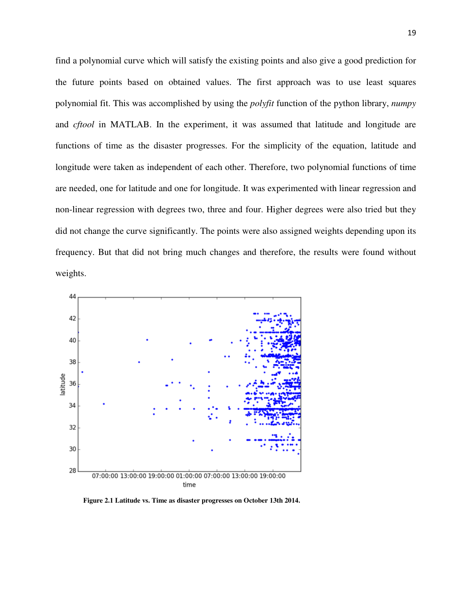find a polynomial curve which will satisfy the existing points and also give a good prediction for the future points based on obtained values. The first approach was to use least squares polynomial fit. This was accomplished by using the *polyfit* function of the python library, *numpy*  and *cftool* in MATLAB. In the experiment, it was assumed that latitude and longitude are functions of time as the disaster progresses. For the simplicity of the equation, latitude and longitude were taken as independent of each other. Therefore, two polynomial functions of time are needed, one for latitude and one for longitude. It was experimented with linear regression and non-linear regression with degrees two, three and four. Higher degrees were also tried but they did not change the curve significantly. The points were also assigned weights depending upon its frequency. But that did not bring much changes and therefore, the results were found without weights.



**Figure 2.1 Latitude vs. Time as disaster progresses on October 13th 2014.**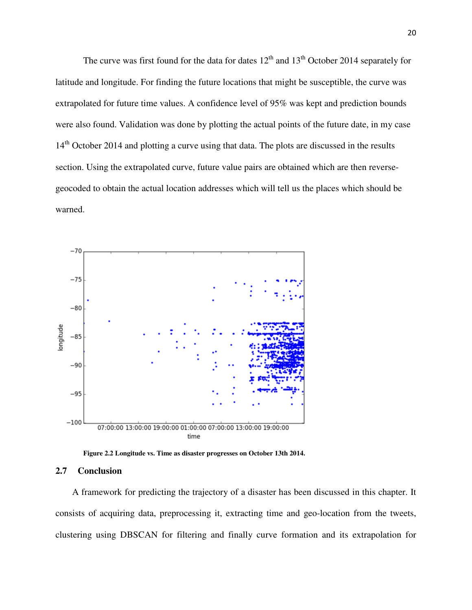The curve was first found for the data for dates  $12<sup>th</sup>$  and  $13<sup>th</sup>$  October 2014 separately for latitude and longitude. For finding the future locations that might be susceptible, the curve was extrapolated for future time values. A confidence level of 95% was kept and prediction bounds were also found. Validation was done by plotting the actual points of the future date, in my case 14<sup>th</sup> October 2014 and plotting a curve using that data. The plots are discussed in the results section. Using the extrapolated curve, future value pairs are obtained which are then reversegeocoded to obtain the actual location addresses which will tell us the places which should be warned.



**Figure 2.2 Longitude vs. Time as disaster progresses on October 13th 2014.** 

#### **2.7 Conclusion**

A framework for predicting the trajectory of a disaster has been discussed in this chapter. It consists of acquiring data, preprocessing it, extracting time and geo-location from the tweets, clustering using DBSCAN for filtering and finally curve formation and its extrapolation for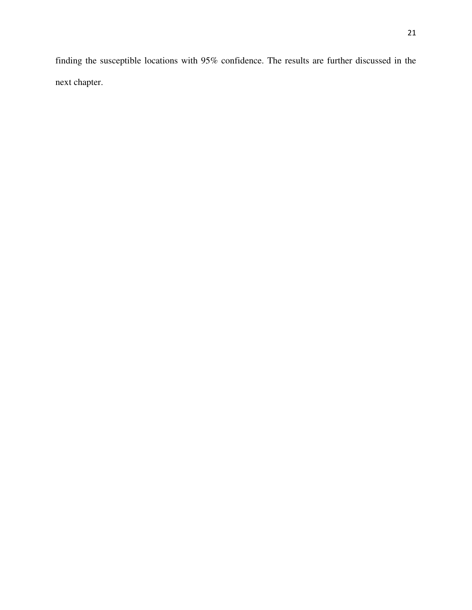finding the susceptible locations with 95% confidence. The results are further discussed in the next chapter.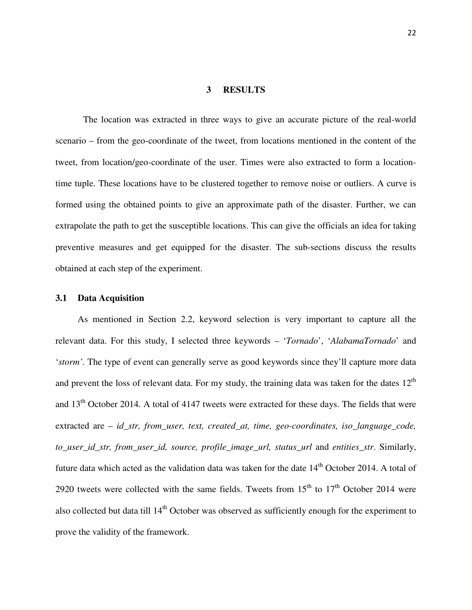#### **3 RESULTS**

The location was extracted in three ways to give an accurate picture of the real-world scenario – from the geo-coordinate of the tweet, from locations mentioned in the content of the tweet, from location/geo-coordinate of the user. Times were also extracted to form a locationtime tuple. These locations have to be clustered together to remove noise or outliers. A curve is formed using the obtained points to give an approximate path of the disaster. Further, we can extrapolate the path to get the susceptible locations. This can give the officials an idea for taking preventive measures and get equipped for the disaster. The sub-sections discuss the results obtained at each step of the experiment.

#### **3.1 Data Acquisition**

As mentioned in Section 2.2, keyword selection is very important to capture all the relevant data. For this study, I selected three keywords – '*Tornado*', '*AlabamaTornado*' and '*storm'.* The type of event can generally serve as good keywords since they'll capture more data and prevent the loss of relevant data. For my study, the training data was taken for the dates  $12<sup>th</sup>$ and  $13<sup>th</sup>$  October 2014. A total of 4147 tweets were extracted for these days. The fields that were extracted are – *id\_str, from\_user, text, created\_at, time, geo-coordinates, iso\_language\_code, to\_user\_id\_str, from\_user\_id, source, profile\_image\_url, status\_url* and *entities\_str*. Similarly, future data which acted as the validation data was taken for the date 14<sup>th</sup> October 2014. A total of 2920 tweets were collected with the same fields. Tweets from  $15<sup>th</sup>$  to  $17<sup>th</sup>$  October 2014 were also collected but data till  $14<sup>th</sup>$  October was observed as sufficiently enough for the experiment to prove the validity of the framework.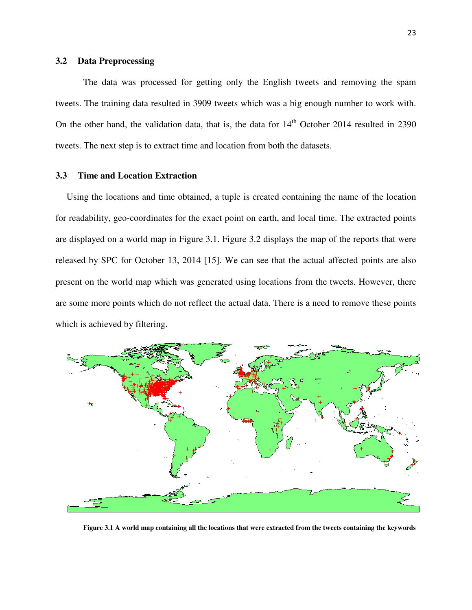#### **3.2 Data Preprocessing**

The data was processed for getting only the English tweets and removing the spam tweets. The training data resulted in 3909 tweets which was a big enough number to work with. On the other hand, the validation data, that is, the data for  $14<sup>th</sup>$  October 2014 resulted in 2390 tweets. The next step is to extract time and location from both the datasets.

#### **3.3 Time and Location Extraction**

Using the locations and time obtained, a tuple is created containing the name of the location for readability, geo-coordinates for the exact point on earth, and local time. The extracted points are displayed on a world map in Figure 3.1. Figure 3.2 displays the map of the reports that were released by SPC for October 13, 2014 [15]. We can see that the actual affected points are also present on the world map which was generated using locations from the tweets. However, there are some more points which do not reflect the actual data. There is a need to remove these points which is achieved by filtering.



**Figure 3.1 A world map containing all the locations that were extracted from the tweets containing the keywords**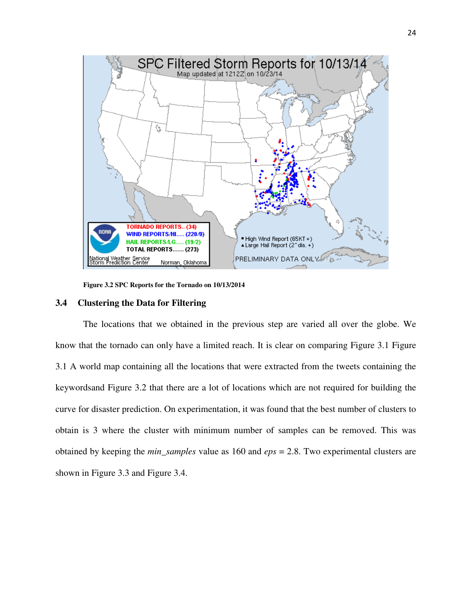

**Figure 3.2 SPC Reports for the Tornado on 10/13/2014** 

#### **3.4 Clustering the Data for Filtering**

The locations that we obtained in the previous step are varied all over the globe. We know that the tornado can only have a limited reach. It is clear on comparing Figure 3.1 Figure 3.1 A world map containing all the locations that were extracted from the tweets containing the keywordsand Figure 3.2 that there are a lot of locations which are not required for building the curve for disaster prediction. On experimentation, it was found that the best number of clusters to obtain is 3 where the cluster with minimum number of samples can be removed. This was obtained by keeping the *min\_samples* value as 160 and *eps* = 2.8. Two experimental clusters are shown in Figure 3.3 and Figure 3.4.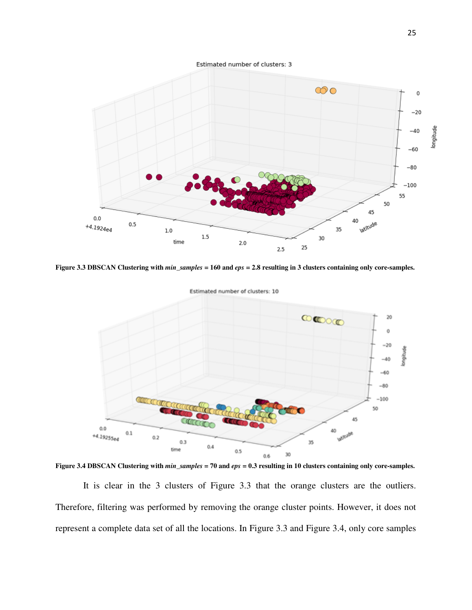Estimated number of clusters: 3



**Figure 3.3 DBSCAN Clustering with** *min\_samples* **= 160 and** *eps* **= 2.8 resulting in 3 clusters containing only core-samples.** 



**Figure 3.4 DBSCAN Clustering with** *min\_samples* **= 70 and** *eps* **= 0.3 resulting in 10 clusters containing only core-samples.** 

It is clear in the 3 clusters of Figure 3.3 that the orange clusters are the outliers. Therefore, filtering was performed by removing the orange cluster points. However, it does not represent a complete data set of all the locations. In Figure 3.3 and Figure 3.4, only core samples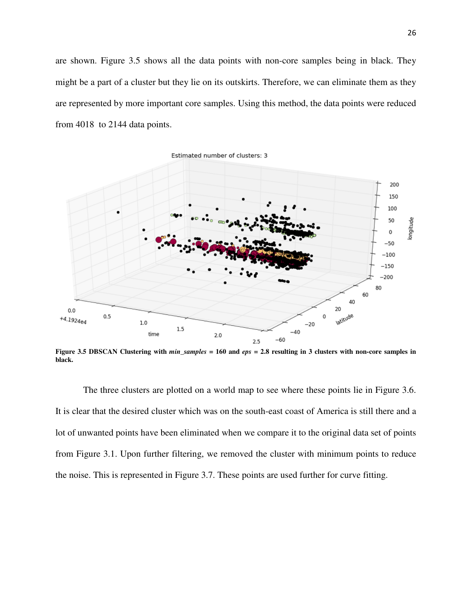are shown. Figure 3.5 shows all the data points with non-core samples being in black. They might be a part of a cluster but they lie on its outskirts. Therefore, we can eliminate them as they are represented by more important core samples. Using this method, the data points were reduced from 4018 to 2144 data points.



**Figure 3.5 DBSCAN Clustering with** *min\_samples* **= 160 and** *eps* **= 2.8 resulting in 3 clusters with non-core samples in black.** 

The three clusters are plotted on a world map to see where these points lie in Figure 3.6. It is clear that the desired cluster which was on the south-east coast of America is still there and a lot of unwanted points have been eliminated when we compare it to the original data set of points from Figure 3.1. Upon further filtering, we removed the cluster with minimum points to reduce the noise. This is represented in Figure 3.7. These points are used further for curve fitting.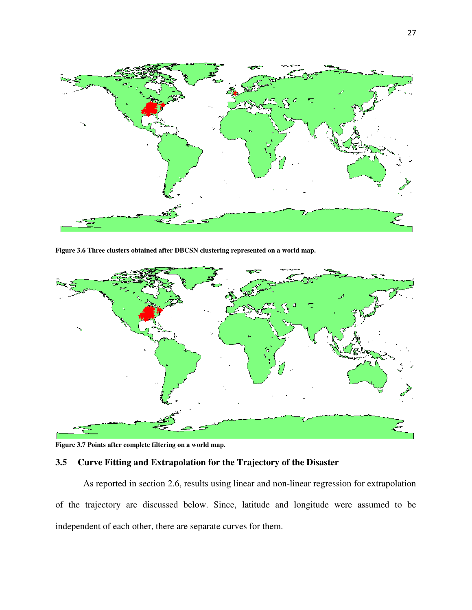

**Figure 3.6 Three clusters obtained after DBCSN clustering represented on a world map.** 



**Figure 3.7 Points after complete filtering on a world map.** 

### **3.5 Curve Fitting and Extrapolation for the Trajectory of the Disaster**

As reported in section 2.6, results using linear and non-linear regression for extrapolation of the trajectory are discussed below. Since, latitude and longitude were assumed to be independent of each other, there are separate curves for them.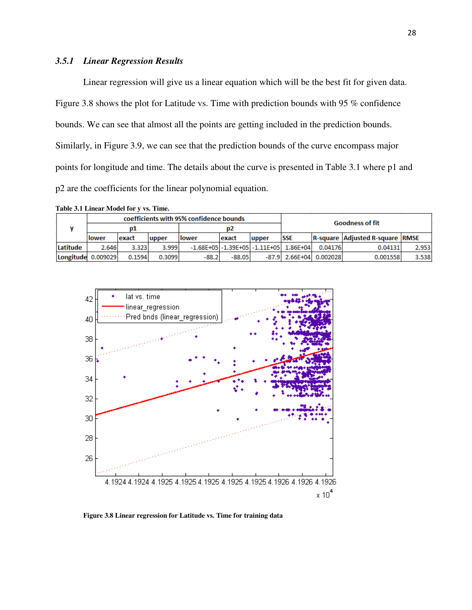#### *3.5.1 Linear Regression Results*

Linear regression will give us a linear equation which will be the best fit for given data. Figure 3.8 shows the plot for Latitude vs. Time with prediction bounds with 95 % confidence bounds. We can see that almost all the points are getting included in the prediction bounds. Similarly, in Figure 3.9, we can see that the prediction bounds of the curve encompass major points for longitude and time. The details about the curve is presented in Table 3.1 where p1 and p2 are the coefficients for the linear polynomial equation.

| Table 3.1 Linear Model for y vs. Time. |  |
|----------------------------------------|--|
|----------------------------------------|--|

|                    |        |        |        | coefficients with 95% confidence bounds |          |                                                | <b>Goodness of fit</b>    |         |                                        |       |
|--------------------|--------|--------|--------|-----------------------------------------|----------|------------------------------------------------|---------------------------|---------|----------------------------------------|-------|
|                    | D1     |        |        | D2                                      |          |                                                |                           |         |                                        |       |
|                    | llower | exact  | upper  | llower                                  | lexact   | lupper                                         | <b>SSE</b>                |         | <b>R-square Adjusted R-square RMSE</b> |       |
| lLatitude          | 2.646  | 3.323  | 3.999  |                                         |          | $-1.68E+05$ $-1.39E+05$ $-1.11E+05$ $1.86E+04$ |                           | 0.04176 | 0.04131                                | 2.953 |
| Longitude 0.009029 |        | 0.1594 | 0.3099 | $-88.2$                                 | $-88.05$ |                                                | $-87.9$ 2.66E+04 0.002028 |         | 0.001558                               | 3.538 |



**Figure 3.8 Linear regression for Latitude vs. Time for training data**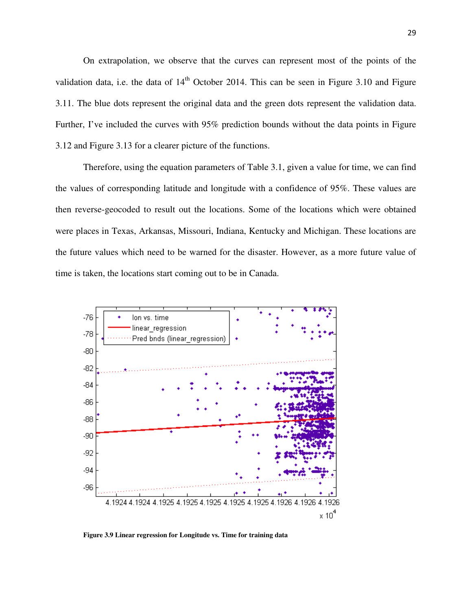On extrapolation, we observe that the curves can represent most of the points of the validation data, i.e. the data of  $14<sup>th</sup>$  October 2014. This can be seen in Figure 3.10 and Figure 3.11. The blue dots represent the original data and the green dots represent the validation data. Further, I've included the curves with 95% prediction bounds without the data points in Figure 3.12 and Figure 3.13 for a clearer picture of the functions.

Therefore, using the equation parameters of Table 3.1, given a value for time, we can find the values of corresponding latitude and longitude with a confidence of 95%. These values are then reverse-geocoded to result out the locations. Some of the locations which were obtained were places in Texas, Arkansas, Missouri, Indiana, Kentucky and Michigan. These locations are the future values which need to be warned for the disaster. However, as a more future value of time is taken, the locations start coming out to be in Canada.



**Figure 3.9 Linear regression for Longitude vs. Time for training data**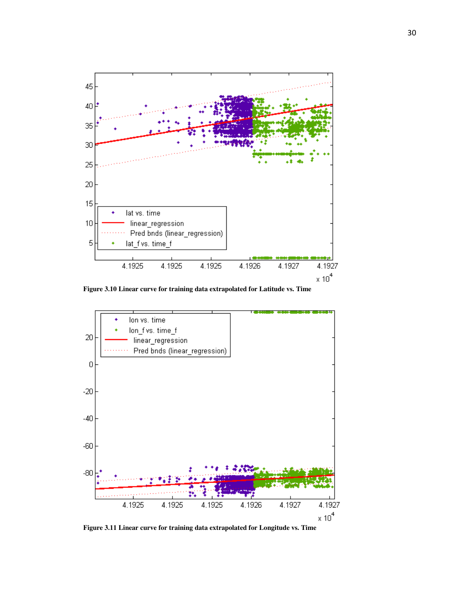

**Figure 3.10 Linear curve for training data extrapolated for Latitude vs. Time** 



**Figure 3.11 Linear curve for training data extrapolated for Longitude vs. Time**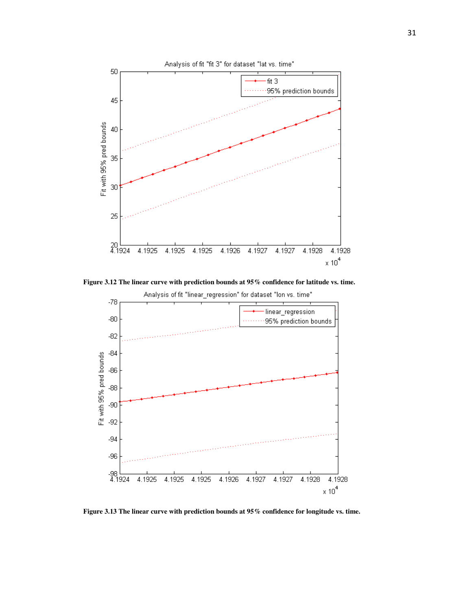

**Figure 3.12 The linear curve with prediction bounds at 95% confidence for latitude vs. time.** 



**Figure 3.13 The linear curve with prediction bounds at 95% confidence for longitude vs. time.**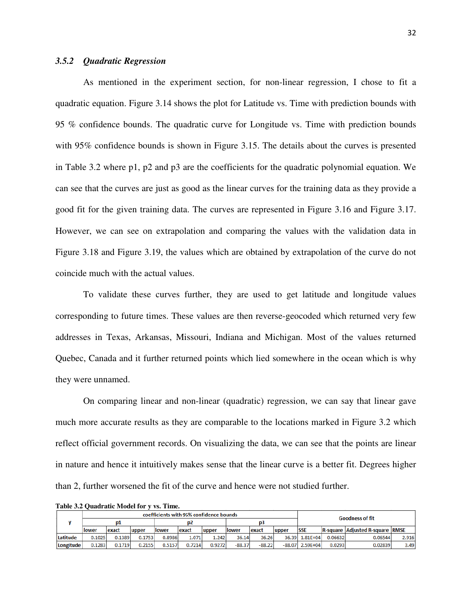#### *3.5.2 Quadratic Regression*

As mentioned in the experiment section, for non-linear regression, I chose to fit a quadratic equation. Figure 3.14 shows the plot for Latitude vs. Time with prediction bounds with 95 % confidence bounds. The quadratic curve for Longitude vs. Time with prediction bounds with 95% confidence bounds is shown in Figure 3.15. The details about the curves is presented in Table 3.2 where p1, p2 and p3 are the coefficients for the quadratic polynomial equation. We can see that the curves are just as good as the linear curves for the training data as they provide a good fit for the given training data. The curves are represented in Figure 3.16 and Figure 3.17. However, we can see on extrapolation and comparing the values with the validation data in Figure 3.18 and Figure 3.19, the values which are obtained by extrapolation of the curve do not coincide much with the actual values.

To validate these curves further, they are used to get latitude and longitude values corresponding to future times. These values are then reverse-geocoded which returned very few addresses in Texas, Arkansas, Missouri, Indiana and Michigan. Most of the values returned Quebec, Canada and it further returned points which lied somewhere in the ocean which is why they were unnamed.

On comparing linear and non-linear (quadratic) regression, we can say that linear gave much more accurate results as they are comparable to the locations marked in Figure 3.2 which reflect official government records. On visualizing the data, we can see that the points are linear in nature and hence it intuitively makes sense that the linear curve is a better fit. Degrees higher than 2, further worsened the fit of the curve and hence were not studied further.

|  | $\cdots$ $\cdots$ |               |        |        |        |                                         |        |               |          |        |                   |         |                                        |       |
|--|-------------------|---------------|--------|--------|--------|-----------------------------------------|--------|---------------|----------|--------|-------------------|---------|----------------------------------------|-------|
|  |                   |               |        |        |        | coefficients with 95% confidence bounds |        |               |          |        |                   |         | <b>Goodness of fit</b>                 |       |
|  |                   |               |        |        |        |                                         |        |               |          |        |                   |         |                                        |       |
|  |                   | <u>llower</u> | lexact | upper  | llower | lexact                                  | lupper | <b>Ilower</b> | exact    | lupper | <b>SSE</b>        |         | <b>R-square Adjusted R-square RMSE</b> |       |
|  | Latitude          | 0.1025        | 0.1389 | 0.1753 | 0.8986 | 1.071                                   | 1.242  | 36.14         | 36.26    |        | 36.39 1.81E+04    | 0.06632 | 0.06544                                | 2.916 |
|  | Longitude         | 0.1283        | 0.1719 | 0.2155 | 0.5157 | 0.7214                                  | 0.9272 | $-88.37$      | $-88.22$ |        | $-88.07$ 2.59E+04 | 0.0293  | 0.02839                                | 3.49  |

**Table 3.2 Quadratic Model for y vs. Time.**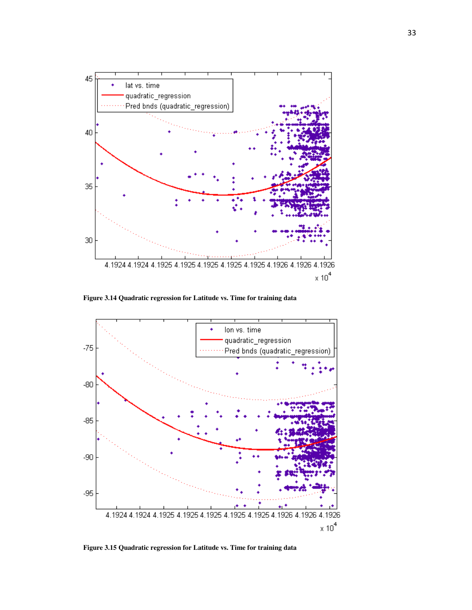

**Figure 3.14 Quadratic regression for Latitude vs. Time for training data** 



**Figure 3.15 Quadratic regression for Latitude vs. Time for training data**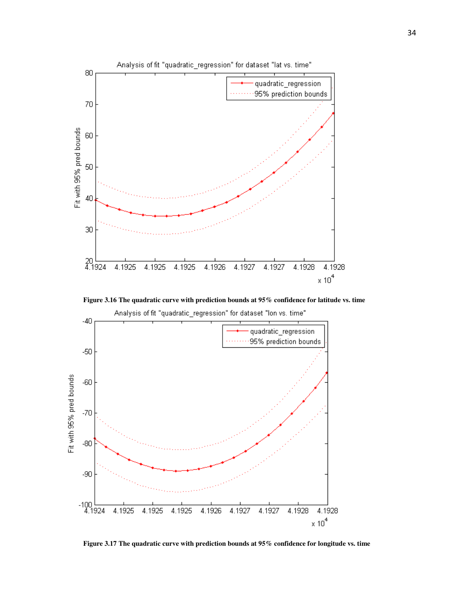

**Figure 3.16 The quadratic curve with prediction bounds at 95% confidence for latitude vs. time** 



**Figure 3.17 The quadratic curve with prediction bounds at 95% confidence for longitude vs. time**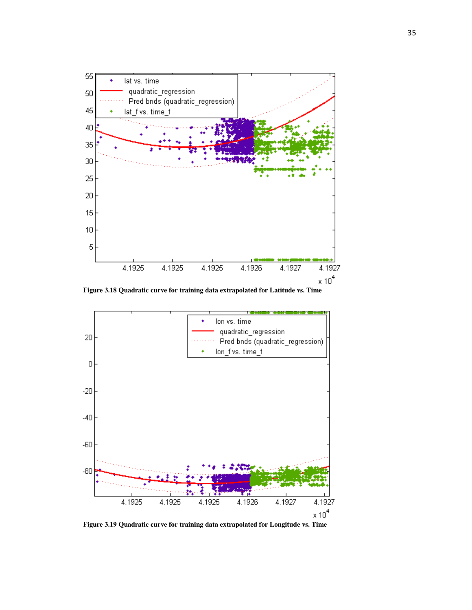



**Figure 3.19 Quadratic curve for training data extrapolated for Longitude vs. Time**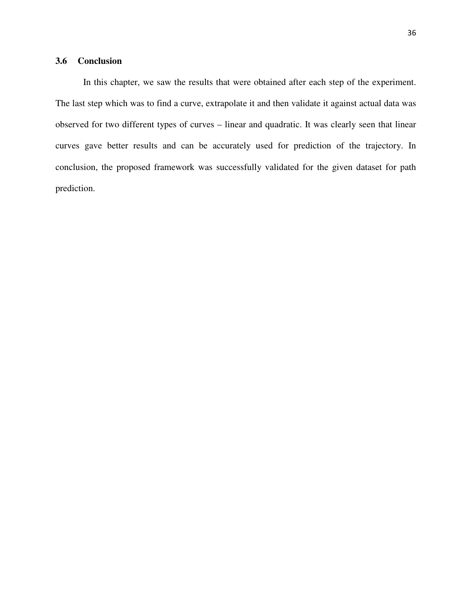## **3.6 Conclusion**

In this chapter, we saw the results that were obtained after each step of the experiment. The last step which was to find a curve, extrapolate it and then validate it against actual data was observed for two different types of curves – linear and quadratic. It was clearly seen that linear curves gave better results and can be accurately used for prediction of the trajectory. In conclusion, the proposed framework was successfully validated for the given dataset for path prediction.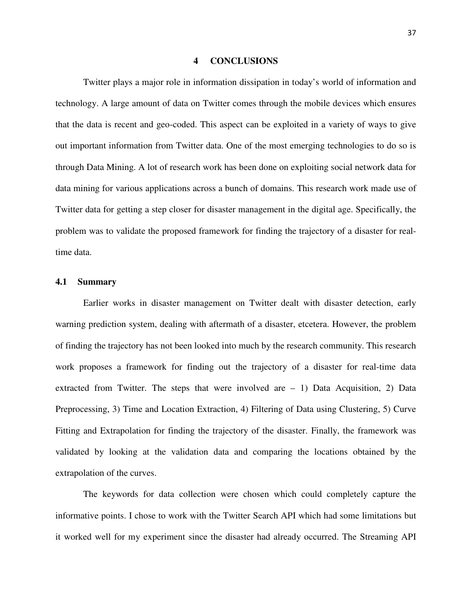#### **4 CONCLUSIONS**

Twitter plays a major role in information dissipation in today's world of information and technology. A large amount of data on Twitter comes through the mobile devices which ensures that the data is recent and geo-coded. This aspect can be exploited in a variety of ways to give out important information from Twitter data. One of the most emerging technologies to do so is through Data Mining. A lot of research work has been done on exploiting social network data for data mining for various applications across a bunch of domains. This research work made use of Twitter data for getting a step closer for disaster management in the digital age. Specifically, the problem was to validate the proposed framework for finding the trajectory of a disaster for realtime data.

#### **4.1 Summary**

Earlier works in disaster management on Twitter dealt with disaster detection, early warning prediction system, dealing with aftermath of a disaster, etcetera. However, the problem of finding the trajectory has not been looked into much by the research community. This research work proposes a framework for finding out the trajectory of a disaster for real-time data extracted from Twitter. The steps that were involved are – 1) Data Acquisition, 2) Data Preprocessing, 3) Time and Location Extraction, 4) Filtering of Data using Clustering, 5) Curve Fitting and Extrapolation for finding the trajectory of the disaster. Finally, the framework was validated by looking at the validation data and comparing the locations obtained by the extrapolation of the curves.

The keywords for data collection were chosen which could completely capture the informative points. I chose to work with the Twitter Search API which had some limitations but it worked well for my experiment since the disaster had already occurred. The Streaming API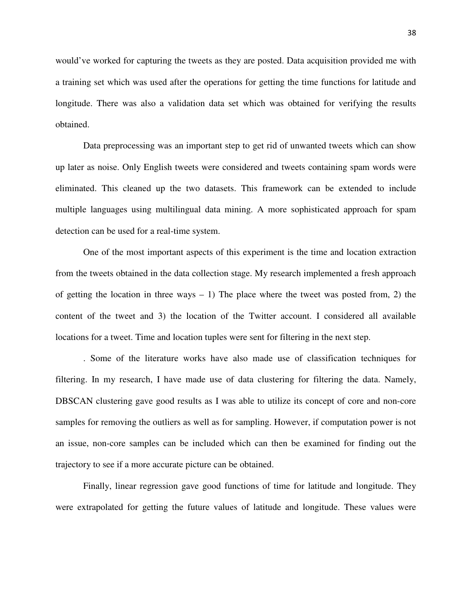would've worked for capturing the tweets as they are posted. Data acquisition provided me with a training set which was used after the operations for getting the time functions for latitude and longitude. There was also a validation data set which was obtained for verifying the results obtained.

Data preprocessing was an important step to get rid of unwanted tweets which can show up later as noise. Only English tweets were considered and tweets containing spam words were eliminated. This cleaned up the two datasets. This framework can be extended to include multiple languages using multilingual data mining. A more sophisticated approach for spam detection can be used for a real-time system.

One of the most important aspects of this experiment is the time and location extraction from the tweets obtained in the data collection stage. My research implemented a fresh approach of getting the location in three ways  $-1$ ) The place where the tweet was posted from, 2) the content of the tweet and 3) the location of the Twitter account. I considered all available locations for a tweet. Time and location tuples were sent for filtering in the next step.

. Some of the literature works have also made use of classification techniques for filtering. In my research, I have made use of data clustering for filtering the data. Namely, DBSCAN clustering gave good results as I was able to utilize its concept of core and non-core samples for removing the outliers as well as for sampling. However, if computation power is not an issue, non-core samples can be included which can then be examined for finding out the trajectory to see if a more accurate picture can be obtained.

Finally, linear regression gave good functions of time for latitude and longitude. They were extrapolated for getting the future values of latitude and longitude. These values were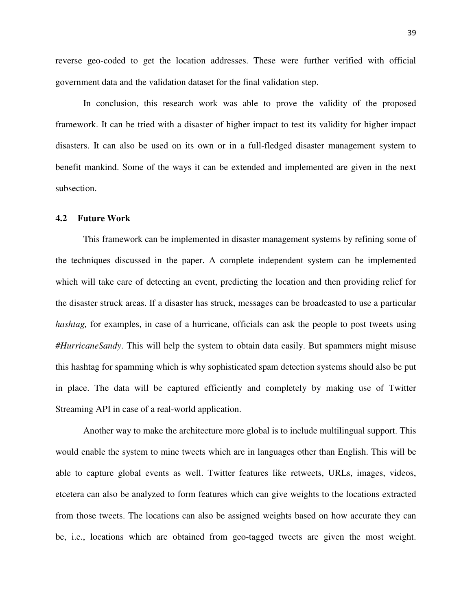reverse geo-coded to get the location addresses. These were further verified with official government data and the validation dataset for the final validation step.

In conclusion, this research work was able to prove the validity of the proposed framework. It can be tried with a disaster of higher impact to test its validity for higher impact disasters. It can also be used on its own or in a full-fledged disaster management system to benefit mankind. Some of the ways it can be extended and implemented are given in the next subsection.

#### **4.2 Future Work**

This framework can be implemented in disaster management systems by refining some of the techniques discussed in the paper. A complete independent system can be implemented which will take care of detecting an event, predicting the location and then providing relief for the disaster struck areas. If a disaster has struck, messages can be broadcasted to use a particular *hashtag*, for examples, in case of a hurricane, officials can ask the people to post tweets using *#HurricaneSandy*. This will help the system to obtain data easily. But spammers might misuse this hashtag for spamming which is why sophisticated spam detection systems should also be put in place. The data will be captured efficiently and completely by making use of Twitter Streaming API in case of a real-world application.

Another way to make the architecture more global is to include multilingual support. This would enable the system to mine tweets which are in languages other than English. This will be able to capture global events as well. Twitter features like retweets, URLs, images, videos, etcetera can also be analyzed to form features which can give weights to the locations extracted from those tweets. The locations can also be assigned weights based on how accurate they can be, i.e., locations which are obtained from geo-tagged tweets are given the most weight.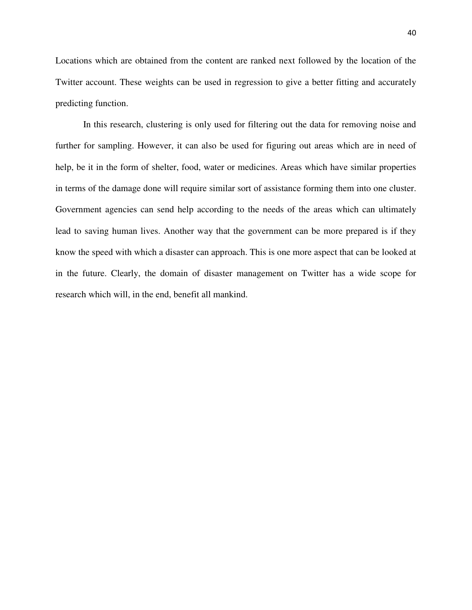Locations which are obtained from the content are ranked next followed by the location of the Twitter account. These weights can be used in regression to give a better fitting and accurately predicting function.

In this research, clustering is only used for filtering out the data for removing noise and further for sampling. However, it can also be used for figuring out areas which are in need of help, be it in the form of shelter, food, water or medicines. Areas which have similar properties in terms of the damage done will require similar sort of assistance forming them into one cluster. Government agencies can send help according to the needs of the areas which can ultimately lead to saving human lives. Another way that the government can be more prepared is if they know the speed with which a disaster can approach. This is one more aspect that can be looked at in the future. Clearly, the domain of disaster management on Twitter has a wide scope for research which will, in the end, benefit all mankind.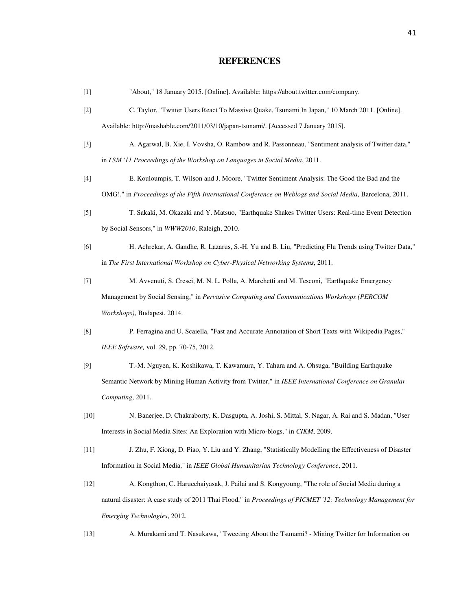#### **REFERENCES**

| $[1]$ |  | "About," 18 January 2015. [Online]. Available: https://about.twitter.com/company. |  |
|-------|--|-----------------------------------------------------------------------------------|--|
|       |  |                                                                                   |  |

- [2] C. Taylor, "Twitter Users React To Massive Quake, Tsunami In Japan," 10 March 2011. [Online]. Available: http://mashable.com/2011/03/10/japan-tsunami/. [Accessed 7 January 2015].
- [3] A. Agarwal, B. Xie, I. Vovsha, O. Rambow and R. Passonneau, "Sentiment analysis of Twitter data," in *LSM '11 Proceedings of the Workshop on Languages in Social Media*, 2011.
- [4] E. Kouloumpis, T. Wilson and J. Moore, "Twitter Sentiment Analysis: The Good the Bad and the OMG!," in *Proceedings of the Fifth International Conference on Weblogs and Social Media*, Barcelona, 2011.
- [5] T. Sakaki, M. Okazaki and Y. Matsuo, "Earthquake Shakes Twitter Users: Real-time Event Detection by Social Sensors," in *WWW2010*, Raleigh, 2010.
- [6] H. Achrekar, A. Gandhe, R. Lazarus, S.-H. Yu and B. Liu, "Predicting Flu Trends using Twitter Data," in *The First International Workshop on Cyber-Physical Networking Systems*, 2011.
- [7] M. Avvenuti, S. Cresci, M. N. L. Polla, A. Marchetti and M. Tesconi, "Earthquake Emergency Management by Social Sensing," in *Pervasive Computing and Communications Workshops (PERCOM Workshops)*, Budapest, 2014.
- [8] P. Ferragina and U. Scaiella, "Fast and Accurate Annotation of Short Texts with Wikipedia Pages," *IEEE Software,* vol. 29, pp. 70-75, 2012.
- [9] T.-M. Nguyen, K. Koshikawa, T. Kawamura, Y. Tahara and A. Ohsuga, "Building Earthquake Semantic Network by Mining Human Activity from Twitter," in *IEEE International Conference on Granular Computing*, 2011.
- [10] N. Banerjee, D. Chakraborty, K. Dasgupta, A. Joshi, S. Mittal, S. Nagar, A. Rai and S. Madan, "User Interests in Social Media Sites: An Exploration with Micro-blogs," in *CIKM*, 2009.
- [11] J. Zhu, F. Xiong, D. Piao, Y. Liu and Y. Zhang, "Statistically Modelling the Effectiveness of Disaster Information in Social Media," in *IEEE Global Humanitarian Technology Conference*, 2011.
- [12] A. Kongthon, C. Haruechaiyasak, J. Pailai and S. Kongyoung, "The role of Social Media during a natural disaster: A case study of 2011 Thai Flood," in *Proceedings of PICMET '12: Technology Management for Emerging Technologies*, 2012.
- [13] A. Murakami and T. Nasukawa, "Tweeting About the Tsunami? Mining Twitter for Information on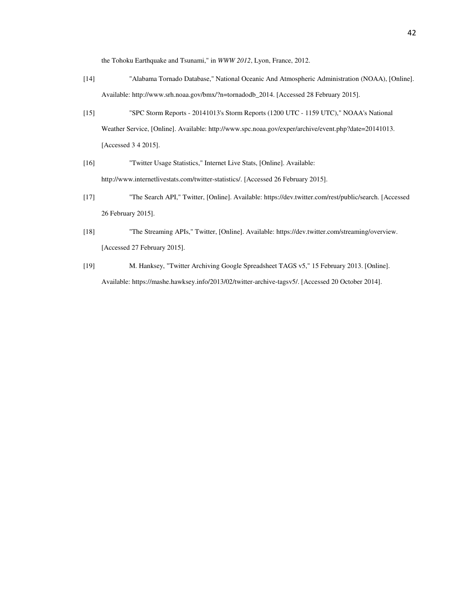the Tohoku Earthquake and Tsunami," in *WWW 2012*, Lyon, France, 2012.

- [14] "Alabama Tornado Database," National Oceanic And Atmospheric Administration (NOAA), [Online]. Available: http://www.srh.noaa.gov/bmx/?n=tornadodb\_2014. [Accessed 28 February 2015].
- [15] "SPC Storm Reports 20141013's Storm Reports (1200 UTC 1159 UTC)," NOAA's National Weather Service, [Online]. Available: http://www.spc.noaa.gov/exper/archive/event.php?date=20141013. [Accessed 3 4 2015].
- [16] "Twitter Usage Statistics," Internet Live Stats, [Online]. Available: http://www.internetlivestats.com/twitter-statistics/. [Accessed 26 February 2015].
- [17] "The Search API," Twitter, [Online]. Available: https://dev.twitter.com/rest/public/search. [Accessed 26 February 2015].
- [18] "The Streaming APIs," Twitter, [Online]. Available: https://dev.twitter.com/streaming/overview. [Accessed 27 February 2015].
- [19] M. Hanksey, "Twitter Archiving Google Spreadsheet TAGS v5," 15 February 2013. [Online]. Available: https://mashe.hawksey.info/2013/02/twitter-archive-tagsv5/. [Accessed 20 October 2014].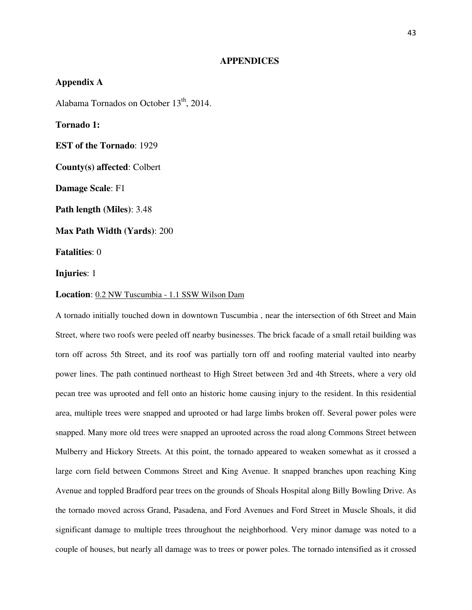#### **APPENDICES**

# **Appendix A**  Alabama Tornados on October  $13<sup>th</sup>$ , 2014. **Tornado 1: EST of the Tornado**: 1929 **County(s) affected**: Colbert **Damage Scale**: F1 **Path length (Miles)**: 3.48 **Max Path Width (Yards)**: 200 **Fatalities**: 0 **Injuries**: 1 **Location**: 0.2 NW Tuscumbia - 1.1 SSW Wilson Dam

A tornado initially touched down in downtown Tuscumbia , near the intersection of 6th Street and Main Street, where two roofs were peeled off nearby businesses. The brick facade of a small retail building was torn off across 5th Street, and its roof was partially torn off and roofing material vaulted into nearby power lines. The path continued northeast to High Street between 3rd and 4th Streets, where a very old pecan tree was uprooted and fell onto an historic home causing injury to the resident. In this residential area, multiple trees were snapped and uprooted or had large limbs broken off. Several power poles were snapped. Many more old trees were snapped an uprooted across the road along Commons Street between Mulberry and Hickory Streets. At this point, the tornado appeared to weaken somewhat as it crossed a large corn field between Commons Street and King Avenue. It snapped branches upon reaching King Avenue and toppled Bradford pear trees on the grounds of Shoals Hospital along Billy Bowling Drive. As the tornado moved across Grand, Pasadena, and Ford Avenues and Ford Street in Muscle Shoals, it did significant damage to multiple trees throughout the neighborhood. Very minor damage was noted to a couple of houses, but nearly all damage was to trees or power poles. The tornado intensified as it crossed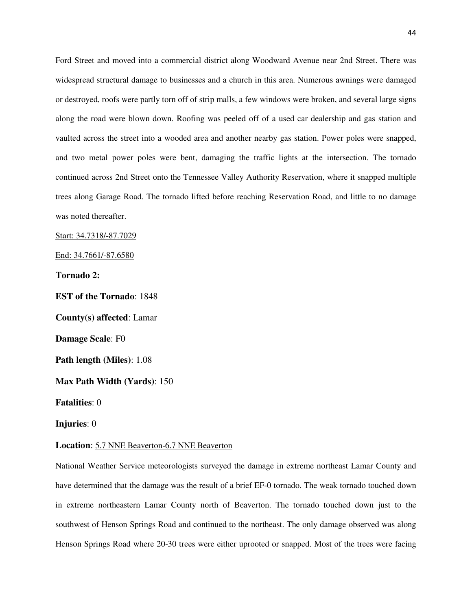Ford Street and moved into a commercial district along Woodward Avenue near 2nd Street. There was widespread structural damage to businesses and a church in this area. Numerous awnings were damaged or destroyed, roofs were partly torn off of strip malls, a few windows were broken, and several large signs along the road were blown down. Roofing was peeled off of a used car dealership and gas station and vaulted across the street into a wooded area and another nearby gas station. Power poles were snapped, and two metal power poles were bent, damaging the traffic lights at the intersection. The tornado continued across 2nd Street onto the Tennessee Valley Authority Reservation, where it snapped multiple trees along Garage Road. The tornado lifted before reaching Reservation Road, and little to no damage was noted thereafter.

Start: 34.7318/-87.7029

End: 34.7661/-87.6580

**Tornado 2:** 

**EST of the Tornado**: 1848 **County(s) affected**: Lamar **Damage Scale**: F0 **Path length (Miles)**: 1.08 **Max Path Width (Yards)**: 150 **Fatalities**: 0 **Injuries**: 0

**Location**: 5.7 NNE Beaverton-6.7 NNE Beaverton

National Weather Service meteorologists surveyed the damage in extreme northeast Lamar County and have determined that the damage was the result of a brief EF-0 tornado. The weak tornado touched down in extreme northeastern Lamar County north of Beaverton. The tornado touched down just to the southwest of Henson Springs Road and continued to the northeast. The only damage observed was along Henson Springs Road where 20-30 trees were either uprooted or snapped. Most of the trees were facing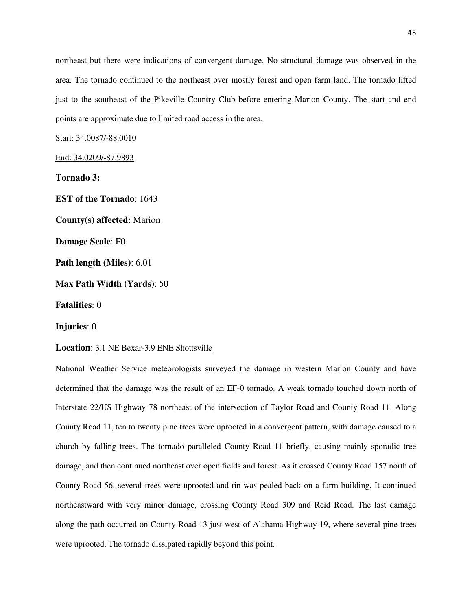northeast but there were indications of convergent damage. No structural damage was observed in the area. The tornado continued to the northeast over mostly forest and open farm land. The tornado lifted just to the southeast of the Pikeville Country Club before entering Marion County. The start and end points are approximate due to limited road access in the area.

Start: 34.0087/-88.0010

End: 34.0209/-87.9893

**Tornado 3:** 

**EST of the Tornado**: 1643 **County(s) affected**: Marion **Damage Scale**: F0 **Path length (Miles)**: 6.01 **Max Path Width (Yards)**: 50 **Fatalities**: 0

**Injuries**: 0

**Location**: 3.1 NE Bexar-3.9 ENE Shottsville

National Weather Service meteorologists surveyed the damage in western Marion County and have determined that the damage was the result of an EF-0 tornado. A weak tornado touched down north of Interstate 22/US Highway 78 northeast of the intersection of Taylor Road and County Road 11. Along County Road 11, ten to twenty pine trees were uprooted in a convergent pattern, with damage caused to a church by falling trees. The tornado paralleled County Road 11 briefly, causing mainly sporadic tree damage, and then continued northeast over open fields and forest. As it crossed County Road 157 north of County Road 56, several trees were uprooted and tin was pealed back on a farm building. It continued northeastward with very minor damage, crossing County Road 309 and Reid Road. The last damage along the path occurred on County Road 13 just west of Alabama Highway 19, where several pine trees were uprooted. The tornado dissipated rapidly beyond this point.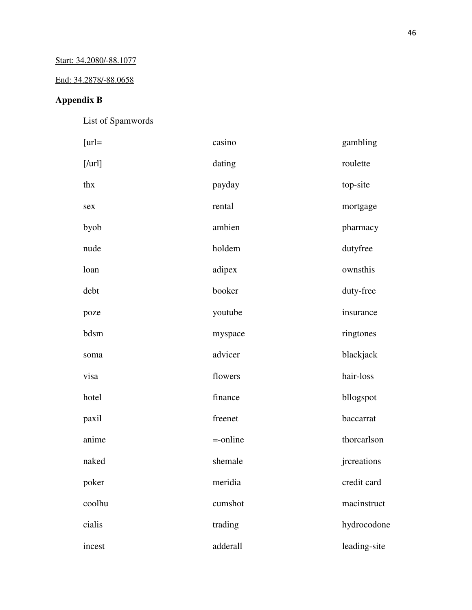## End: 34.2878/-88.0658

# **Appendix B**

List of Spamwords

| $[url=$ | casino      | gambling     |
|---------|-------------|--------------|
| [/url]  | dating      | roulette     |
| thx     | payday      | top-site     |
| sex     | rental      | mortgage     |
| byob    | ambien      | pharmacy     |
| nude    | holdem      | dutyfree     |
| loan    | adipex      | ownsthis     |
| debt    | booker      | duty-free    |
| poze    | youtube     | insurance    |
| bdsm    | myspace     | ringtones    |
| soma    | advicer     | blackjack    |
| visa    | flowers     | hair-loss    |
| hotel   | finance     | bllogspot    |
| paxil   | freenet     | baccarrat    |
| anime   | $=$ -online | thorcarlson  |
| naked   | shemale     | jrcreations  |
| poker   | meridia     | credit card  |
| coolhu  | cumshot     | macinstruct  |
| cialis  | trading     | hydrocodone  |
| incest  | adderall    | leading-site |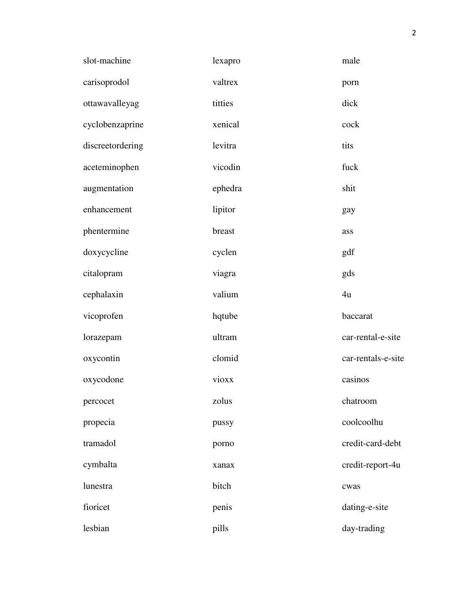| slot-machine     | lexapro | male               |
|------------------|---------|--------------------|
| carisoprodol     | valtrex | porn               |
| ottawavalleyag   | titties | dick               |
| cyclobenzaprine  | xenical | cock               |
| discreetordering | levitra | tits               |
| aceteminophen    | vicodin | fuck               |
| augmentation     | ephedra | shit               |
| enhancement      | lipitor | gay                |
| phentermine      | breast  | ass                |
| doxycycline      | cyclen  | gdf                |
| citalopram       | viagra  | gds                |
| cephalaxin       | valium  | 4u                 |
| vicoprofen       | hqtube  | baccarat           |
| lorazepam        | ultram  | car-rental-e-site  |
| oxycontin        | clomid  | car-rentals-e-site |
| oxycodone        | vioxx   | casinos            |
| percocet         | zolus   | chatroom           |
| propecia         | pussy   | coolcoolhu         |
| tramadol         | porno   | credit-card-debt   |
| cymbalta         | xanax   | credit-report-4u   |
| lunestra         | bitch   | cwas               |
| fioricet         | penis   | dating-e-site      |
| lesbian          | pills   | day-trading        |